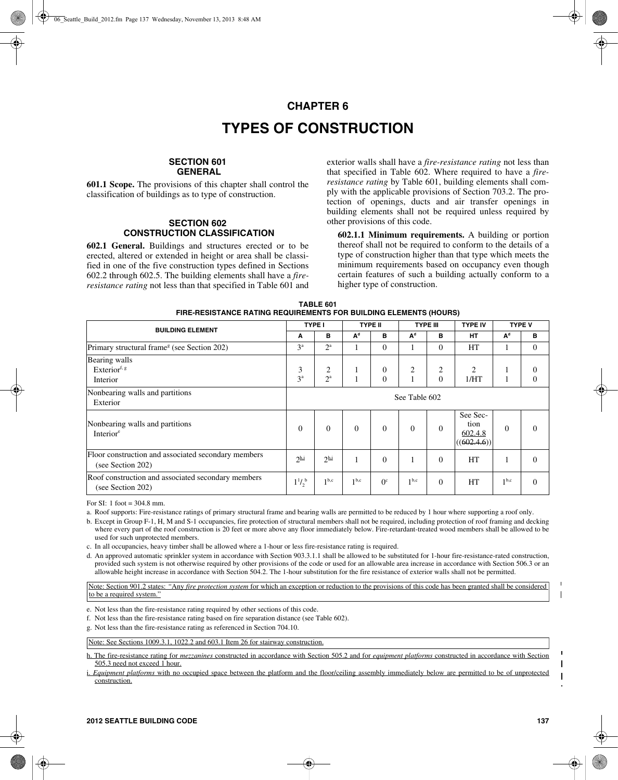# **CHAPTER 6 TYPES OF CONSTRUCTION**

## **SECTION 601 GENERAL**

**601.1 Scope.** The provisions of this chapter shall control the classification of buildings as to type of construction.

### **SECTION 602 CONSTRUCTION CLASSIFICATION**

**602.1 General.** Buildings and structures erected or to be erected, altered or extended in height or area shall be classified in one of the five construction types defined in Sections 602.2 through 602.5. The building elements shall have a *fireresistance rating* not less than that specified in Table 601 and exterior walls shall have a *fire-resistance rating* not less than that specified in Table 602. Where required to have a *fireresistance rating* by Table 601, building elements shall comply with the applicable provisions of Section 703.2. The protection of openings, ducts and air transfer openings in building elements shall not be required unless required by other provisions of this code.

**602.1.1 Minimum requirements.** A building or portion thereof shall not be required to conform to the details of a type of construction higher than that type which meets the minimum requirements based on occupancy even though certain features of such a building actually conform to a higher type of construction.

| TABLE 601                                                                |
|--------------------------------------------------------------------------|
| <b>FIRE-RESISTANCE RATING REQUIREMENTS FOR BUILDING ELEMENTS (HOURS)</b> |

| <b>BUILDING ELEMENT</b>                                                  | <b>TYPE I</b>                  |                       | <b>TYPE II</b>   |                              | <b>TYPE III</b>  |               | <b>TYPE IV</b>                           |                  | <b>TYPE V</b> |
|--------------------------------------------------------------------------|--------------------------------|-----------------------|------------------|------------------------------|------------------|---------------|------------------------------------------|------------------|---------------|
|                                                                          |                                | B                     | A <sup>d</sup>   | в                            | A <sup>d</sup>   | B             | <b>HT</b>                                | $A^d$            | в             |
| Primary structural frame <sup>g</sup> (see Section 202)                  | 3 <sup>a</sup>                 | $2^{\rm a}$           |                  | $\Omega$                     |                  | $\Omega$      | HT                                       |                  | $\Omega$      |
| Bearing walls<br>Exterior <sup>f, g</sup><br>Interior                    | 3<br>3 <sup>a</sup>            | 2<br>$2^{\mathrm{a}}$ |                  | $\boldsymbol{0}$<br>$\Omega$ | 2                | 2<br>$\Omega$ | $\overline{c}$<br>1/HT                   |                  | 0<br>$\Omega$ |
| Nonbearing walls and partitions<br>Exterior                              | See Table 602                  |                       |                  |                              |                  |               |                                          |                  |               |
| Nonbearing walls and partitions<br>Interior <sup>e</sup>                 | $\Omega$                       | $\Omega$              | $\Omega$         | $\Omega$                     | $\Omega$         | $\Omega$      | See Sec-<br>tion<br>602.4.8<br>(602.4.6) | $\Omega$         | $\Omega$      |
| Floor construction and associated secondary members<br>(see Section 202) | $2^{\underline{\mathrm{h.i}}}$ | $2^{\underline{h},i}$ |                  | $\theta$                     |                  | $\Omega$      | HT                                       |                  | $\Omega$      |
| Roof construction and associated secondary members<br>(see Section 202)  | $1^{1/6}$                      | 1 <sup>b,c</sup>      | 1 <sup>b,c</sup> | $0^{\circ}$                  | 1 <sup>b,c</sup> | $\Omega$      | HT                                       | 1 <sup>b,c</sup> | $\Omega$      |

For SI: 1 foot = 304.8 mm.

a. Roof supports: Fire-resistance ratings of primary structural frame and bearing walls are permitted to be reduced by 1 hour where supporting a roof only.

b. Except in Group F-1, H, M and S-1 occupancies, fire protection of structural members shall not be required, including protection of roof framing and decking where every part of the roof construction is 20 feet or more above any floor immediately below. Fire-retardant-treated wood members shall be allowed to be used for such unprotected members.

c. In all occupancies, heavy timber shall be allowed where a 1-hour or less fire-resistance rating is required.

d. An approved automatic sprinkler system in accordance with Section 903.3.1.1 shall be allowed to be substituted for 1-hour fire-resistance-rated construction, provided such system is not otherwise required by other provisions of the code or used for an allowable area increase in accordance with Section 506.3 or an allowable height increase in accordance with Section 504.2. The 1-hour substitution for the fire resistance of exterior walls shall not be permitted.

Note: Section 901.2 states: *"*Any *fire protection system* for which an exception or reduction to the provisions of this code has been granted shall be considered to be a required system."

e. Not less than the fire-resistance rating required by other sections of this code.

f. Not less than the fire-resistance rating based on fire separation distance (see Table 602).

g. Not less than the fire-resistance rating as referenced in Section 704.10.

Note: See Sections 1009.3.1, 1022.2 and 603.1 Item 26 for stairway construction.

h. The fire-resistance rating for *mezzanines* constructed in accordance with Section 505.2 and for *equipment platforms* constructed in accordance with Section 505.3 need not exceed 1 hour.

i. *Equipment platforms* with no occupied space between the platform and the floor/ceiling assembly immediately below are permitted to be of unprotected construction.

 $\blacksquare$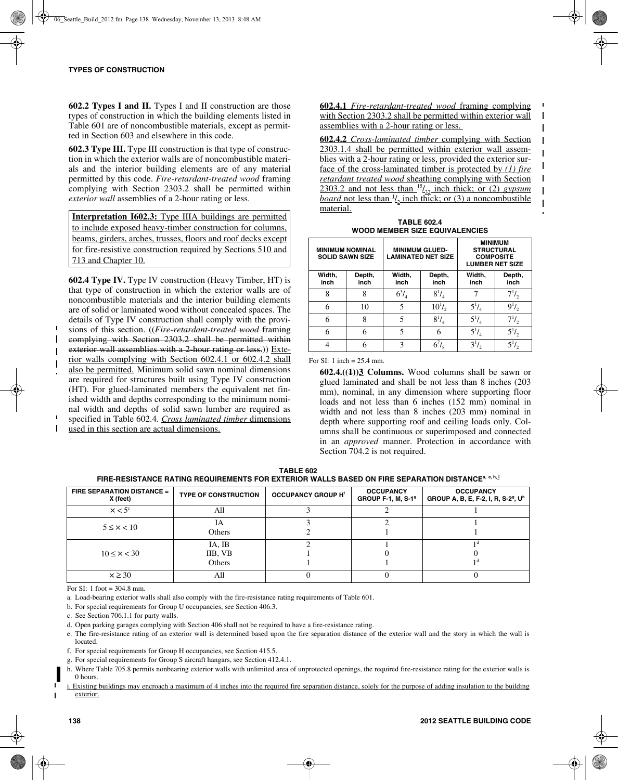**602.2 Types I and II.** Types I and II construction are those types of construction in which the building elements listed in Table 601 are of noncombustible materials, except as permitted in Section 603 and elsewhere in this code.

**602.3 Type III.** Type III construction is that type of construction in which the exterior walls are of noncombustible materials and the interior building elements are of any material permitted by this code. *Fire-retardant-treated wood* framing complying with Section 2303.2 shall be permitted within *exterior wall* assemblies of a 2-hour rating or less.

**Interpretation I602.3:** Type IIIA buildings are permitted to include exposed heavy-timber construction for columns, beams, girders, arches, trusses, floors and roof decks except for fire-resistive construction required by Sections 510 and 713 and Chapter 10.

**602.4 Type IV.** Type IV construction (Heavy Timber, HT) is that type of construction in which the exterior walls are of noncombustible materials and the interior building elements are of solid or laminated wood without concealed spaces. The details of Type IV construction shall comply with the provisions of this section. ((*Fire-retardant-treated wood* framing complying with Section 2303.2 shall be permitted within exterior wall assemblies with a 2-hour rating or less.)) Exterior walls complying with Section 602.4.1 or 602.4.2 shall also be permitted. Minimum solid sawn nominal dimensions are required for structures built using Type IV construction (HT). For glued-laminated members the equivalent net finished width and depths corresponding to the minimum nominal width and depths of solid sawn lumber are required as specified in Table 602.4. *Cross laminated timber* dimensions used in this section are actual dimensions.

**602.4.1** *Fire-retardant-treated wood* framing complying with Section 2303.2 shall be permitted within exterior wall assemblies with a 2-hour rating or less.

 $\mathbf{I}$  $\mathbf{I}$ 

**602.4.2** *Cross-laminated timber* complying with Section  $\mathbf{I}$ 2303.1.4 shall be permitted within exterior wall assemblies with a 2-hour rating or less, provided the exterior sur- $\mathbf{I}$ face of the cross-laminated timber is protected by *(1) fire*  $\mathbf{I}$ *retardant treated wood* sheathing complying with Section 2303.2 and not less than  $\frac{15}{32}$  inch thick; or (2) *gypsum*  $\mathbf{I}$ *board* not less than  $\frac{1}{2}$  inch thick; or (3) a noncombustible  $\overline{1}$ material.

**TABLE 602.4 WOOD MEMBER SIZE EQUIVALENCIES**

| <b>MINIMUM NOMINAL</b><br><b>SOLID SAWN SIZE</b> |                |                | <b>MINIMUM GLUED-</b><br><b>LAMINATED NET SIZE</b> | <b>MINIMUM</b><br><b>STRUCTURAL</b><br><b>COMPOSITE</b><br><b>LUMBER NET SIZE</b> |                |  |  |
|--------------------------------------------------|----------------|----------------|----------------------------------------------------|-----------------------------------------------------------------------------------|----------------|--|--|
| Width,<br>inch                                   | Depth,<br>inch | Width,<br>inch | Depth,<br>inch                                     | Width,<br>inch                                                                    | Depth,<br>inch |  |  |
| 8                                                | 8              | $6^{3}/_{4}$   | $8^{1}/_{4}$                                       |                                                                                   | $7^{1/2}$      |  |  |
| 6                                                | 10             | 5              | $10^{1}$ / <sub>2</sub>                            | $5^{1}/_{4}$                                                                      | $9^{1/3}$      |  |  |
| 6                                                | 8              | 5              | $8^{1}$                                            | $5^{1}/_{4}$                                                                      | $7^{1}/_{2}$   |  |  |
| 6                                                |                |                | 6                                                  | $5^{1}/_{4}$                                                                      | $5^{1}/_{2}$   |  |  |
|                                                  |                | κ              |                                                    | 3 <sup>1</sup>                                                                    |                |  |  |

For SI: 1 inch = 25.4 mm.

**602.4.((1))3 Columns.** Wood columns shall be sawn or glued laminated and shall be not less than 8 inches (203 mm), nominal, in any dimension where supporting floor loads and not less than 6 inches (152 mm) nominal in width and not less than 8 inches (203 mm) nominal in depth where supporting roof and ceiling loads only. Columns shall be continuous or superimposed and connected in an *approved* manner. Protection in accordance with Section 704.2 is not required.

**TABLE 602 FIRE-RESISTANCE RATING REQUIREMENTS FOR EXTERIOR WALLS BASED ON FIRE SEPARATION DISTANCEa, e, h, i**

| <b>FIRE SEPARATION DISTANCE =  </b><br>X (feet) | <b>TYPE OF CONSTRUCTION</b> | <b>OCCUPANCY GROUP H'</b> | <b>OCCUPANCY</b><br><b>GROUP F-1, M, S-19</b> | <b>OCCUPANCY</b><br>GROUP A, B, E, F-2, I, R, S-2 <sup>9</sup> , U <sup>b</sup> |
|-------------------------------------------------|-----------------------------|---------------------------|-----------------------------------------------|---------------------------------------------------------------------------------|
| $x < 5^{\circ}$                                 | All                         |                           |                                               |                                                                                 |
| $5 \leq x < 10$                                 | IΑ<br>Others                |                           |                                               |                                                                                 |
| $10 \leq x < 30$                                | IA, IB<br>IIB, VB<br>Others |                           |                                               |                                                                                 |
| $x \geq 30$                                     | All                         |                           |                                               |                                                                                 |

For SI: 1 foot  $=$  304.8 mm.

a. Load-bearing exterior walls shall also comply with the fire-resistance rating requirements of Table 601.

b. For special requirements for Group U occupancies, see Section 406.3.

c. See Section 706.1.1 for party walls.

d. Open parking garages complying with Section 406 shall not be required to have a fire-resistance rating.

e. The fire-resistance rating of an exterior wall is determined based upon the fire separation distance of the exterior wall and the story in which the wall is located.

f. For special requirements for Group H occupancies, see Section 415.5.

- g. For special requirements for Group S aircraft hangars, see Section 412.4.1.
- h. Where Table 705.8 permits nonbearing exterior walls with unlimited area of unprotected openings, the required fire-resistance rating for the exterior walls is 0 hours.

i. Existing buildings may encroach a maximum of 4 inches into the required fire separation distance, solely for the purpose of adding insulation to the building exterior.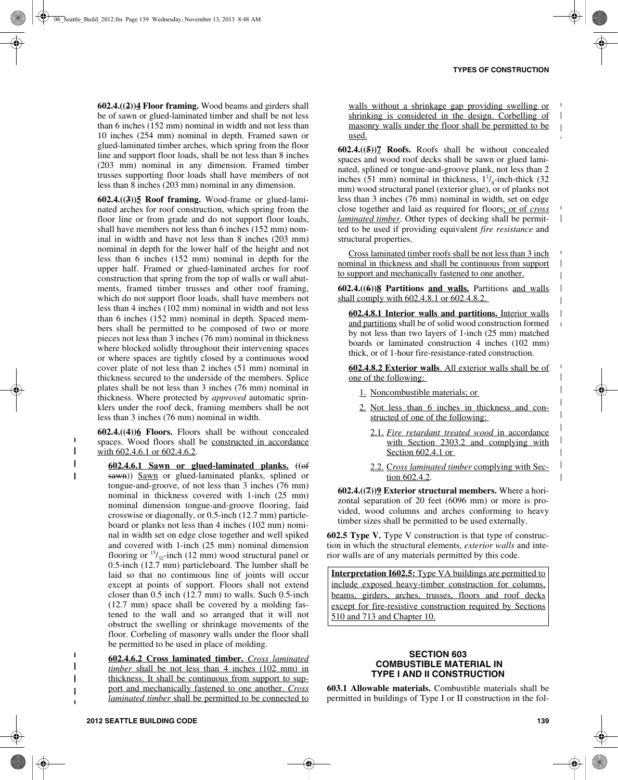$\blacksquare$ 

 $\overline{\phantom{a}}$  $\mathbf{I}$  $\mathbf{I}$  $\mathbf{I}$ 

 $\mathbf I$ 

 $\overline{\phantom{a}}$ 

**602.4.((2))4 Floor framing.** Wood beams and girders shall be of sawn or glued-laminated timber and shall be not less than 6 inches (152 mm) nominal in width and not less than 10 inches (254 mm) nominal in depth. Framed sawn or glued-laminated timber arches, which spring from the floor line and support floor loads, shall be not less than 8 inches (203 mm) nominal in any dimension. Framed timber trusses supporting floor loads shall have members of not less than 8 inches (203 mm) nominal in any dimension.

**602.4.((3))5 Roof framing.** Wood-frame or glued-laminated arches for roof construction, which spring from the floor line or from grade and do not support floor loads, shall have members not less than 6 inches (152 mm) nominal in width and have not less than 8 inches (203 mm) nominal in depth for the lower half of the height and not less than 6 inches (152 mm) nominal in depth for the upper half. Framed or glued-laminated arches for roof construction that spring from the top of walls or wall abutments, framed timber trusses and other roof framing, which do not support floor loads, shall have members not less than 4 inches (102 mm) nominal in width and not less than 6 inches (152 mm) nominal in depth. Spaced members shall be permitted to be composed of two or more pieces not less than 3 inches (76 mm) nominal in thickness where blocked solidly throughout their intervening spaces or where spaces are tightly closed by a continuous wood cover plate of not less than 2 inches (51 mm) nominal in thickness secured to the underside of the members. Splice plates shall be not less than 3 inches (76 mm) nominal in thickness. Where protected by *approved* automatic sprinklers under the roof deck, framing members shall be not less than 3 inches (76 mm) nominal in width.

**602.4.((4))6 Floors.** Floors shall be without concealed spaces. Wood floors shall be constructed in accordance with 602.4.6.1 or 602.4.6.2.

**602.4.6.1 Sawn or glued-laminated planks. ((**of sawn)) Sawn or glued-laminated planks, splined or tongue-and-groove, of not less than 3 inches (76 mm) nominal in thickness covered with 1-inch (25 mm) nominal dimension tongue-and-groove flooring, laid crosswise or diagonally, or 0.5-inch (12.7 mm) particleboard or planks not less than 4 inches (102 mm) nominal in width set on edge close together and well spiked and covered with 1-inch (25 mm) nominal dimension flooring or  $\frac{15}{32}$ -inch (12 mm) wood structural panel or 0.5-inch (12.7 mm) particleboard. The lumber shall be laid so that no continuous line of joints will occur except at points of support. Floors shall not extend closer than 0.5 inch (12.7 mm) to walls. Such 0.5-inch (12.7 mm) space shall be covered by a molding fastened to the wall and so arranged that it will not obstruct the swelling or shrinkage movements of the floor. Corbeling of masonry walls under the floor shall be permitted to be used in place of molding.

**602.4.6.2 Cross laminated timber.** *Cross laminated timber* shall be not less than 4 inches (102 mm) in thickness. It shall be continuous from support to support and mechanically fastened to one another. *Cross laminated timber* shall be permitted to be connected to walls without a shrinkage gap providing swelling or shrinking is considered in the design. Corbelling of masonry walls under the floor shall be permitted to be  $\overline{1}$ used.

**602.4.((5))7 Roofs.** Roofs shall be without concealed spaces and wood roof decks shall be sawn or glued laminated, splined or tongue-and-groove plank, not less than 2 inches (51 mm) nominal in thickness,  $1\frac{1}{8}$ -inch-thick (32 mm) wood structural panel (exterior glue), or of planks not less than 3 inches (76 mm) nominal in width, set on edge close together and laid as required for floors; or of *cross laminated timber.* Other types of decking shall be permitted to be used if providing equivalent *fire resistance* and structural properties.

Cross laminated timber roofs shall be not less than 3 inch nominal in thickness and shall be continuous from support to support and mechanically fastened to one another.

**602.4.((6))8 Partitions and walls.** Partitions and walls shall comply with 602.4.8.1 or 602.4.8.2.

**602.4.8.1 Interior walls and partitions.** Interior walls and partitions shall be of solid wood construction formed by not less than two layers of 1-inch (25 mm) matched boards or laminated construction 4 inches (102 mm) thick, or of 1-hour fire-resistance-rated construction.

**602.4.8.2 Exterior walls**. All exterior walls shall be of one of the following:

- 1. Noncombustible materials; or
- 2. Not less than 6 inches in thickness and constructed of one of the following:
	- 2.1. *Fire retardant treated wood* in accordance with Section 2303.2 and complying with Section 602.4.1 or
	- 2.2. C*ross laminated timber* complying with Section 602.4.2.

**602.4.((7))9 Exterior structural members.** Where a horizontal separation of 20 feet (6096 mm) or more is provided, wood columns and arches conforming to heavy timber sizes shall be permitted to be used externally.

**602.5 Type V.** Type V construction is that type of construction in which the structural elements, *exterior walls* and interior walls are of any materials permitted by this code.

**Interpretation I602.5:** Type VA buildings are permitted to include exposed heavy-timber construction for columns, beams, girders, arches, trusses, floors and roof decks except for fire-resistive construction required by Sections 510 and 713 and Chapter 10.

#### **SECTION 603 COMBUSTIBLE MATERIAL IN TYPE I AND II CONSTRUCTION**

**603.1 Allowable materials.** Combustible materials shall be permitted in buildings of Type I or II construction in the fol-

 $\mathbf{I}$  $\mathbf{I}$  $\mathbf{I}$  $\mathbf I$ 

 $\overline{\phantom{a}}$  $\overline{\phantom{a}}$  $\mathbf{I}$  $\overline{\phantom{a}}$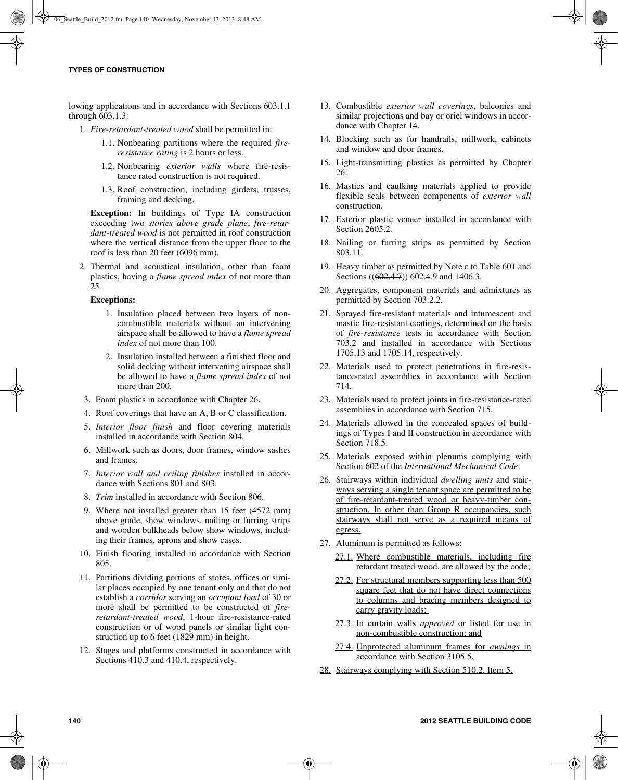lowing applications and in accordance with Sections 603.1.1 through 603.1.3:

- 1. *Fire-retardant-treated wood* shall be permitted in:
	- 1.1. Nonbearing partitions where the required *fireresistance rating* is 2 hours or less.
	- 1.2. Nonbearing *exterior walls* where fire-resistance rated construction is not required.
	- 1.3. Roof construction, including girders, trusses, framing and decking.

**Exception:** In buildings of Type IA construction exceeding two *stories above grade plane*, *fire-retardant-treated wood* is not permitted in roof construction where the vertical distance from the upper floor to the roof is less than 20 feet (6096 mm).

2. Thermal and acoustical insulation, other than foam plastics, having a *flame spread index* of not more than 25.

### **Exceptions:**

- 1. Insulation placed between two layers of noncombustible materials without an intervening airspace shall be allowed to have a *flame spread index* of not more than 100.
- 2. Insulation installed between a finished floor and solid decking without intervening airspace shall be allowed to have a *flame spread index* of not more than 200.
- 3. Foam plastics in accordance with Chapter 26.
- 4. Roof coverings that have an A, B or C classification.
- 5. *Interior floor finish* and floor covering materials installed in accordance with Section 804.
- 6. Millwork such as doors, door frames, window sashes and frames.
- 7. *Interior wall and ceiling finishes* installed in accordance with Sections 801 and 803.
- 8. *Trim* installed in accordance with Section 806.
- 9. Where not installed greater than 15 feet (4572 mm) above grade, show windows, nailing or furring strips and wooden bulkheads below show windows, including their frames, aprons and show cases.
- 10. Finish flooring installed in accordance with Section 805.
- 11. Partitions dividing portions of stores, offices or similar places occupied by one tenant only and that do not establish a *corridor* serving an *occupant load* of 30 or more shall be permitted to be constructed of *fireretardant-treated wood*, 1-hour fire-resistance-rated construction or of wood panels or similar light construction up to 6 feet (1829 mm) in height.
- 12. Stages and platforms constructed in accordance with Sections 410.3 and 410.4, respectively.
- 13. Combustible *exterior wall coverings*, balconies and similar projections and bay or oriel windows in accordance with Chapter 14.
- 14. Blocking such as for handrails, millwork, cabinets and window and door frames.
- 15. Light-transmitting plastics as permitted by Chapter 26.
- 16. Mastics and caulking materials applied to provide flexible seals between components of *exterior wall* construction.
- 17. Exterior plastic veneer installed in accordance with Section 2605.2.
- 18. Nailing or furring strips as permitted by Section 803.11.
- 19. Heavy timber as permitted by Note c to Table 601 and Sections ((602.4.7)) 602.4.9 and 1406.3.
- 20. Aggregates, component materials and admixtures as permitted by Section 703.2.2.
- 21. Sprayed fire-resistant materials and intumescent and mastic fire-resistant coatings, determined on the basis of *fire-resistance* tests in accordance with Section 703.2 and installed in accordance with Sections 1705.13 and 1705.14, respectively.
- 22. Materials used to protect penetrations in fire-resistance-rated assemblies in accordance with Section 714.
- 23. Materials used to protect joints in fire-resistance-rated assemblies in accordance with Section 715.
- 24. Materials allowed in the concealed spaces of buildings of Types I and II construction in accordance with Section 718.5.
- 25. Materials exposed within plenums complying with Section 602 of the *International Mechanical Code*.
- 26. Stairways within individual *dwelling units* and stairways serving a single tenant space are permitted to be of fire-retardant-treated wood or heavy-timber construction. In other than Group R occupancies, such stairways shall not serve as a required means of egress.
- 27. Aluminum is permitted as follows:
	- 27.1. Where combustible materials, including fire retardant treated wood, are allowed by the code;
	- 27.2. For structural members supporting less than 500 square feet that do not have direct connections to columns and bracing members designed to carry gravity loads;
	- 27.3. In curtain walls *approved* or listed for use in non-combustible construction; and
	- 27.4. Unprotected aluminum frames for *awnings* in accordance with Section 3105.5.
- 28. Stairways complying with Section 510.2, Item 5.